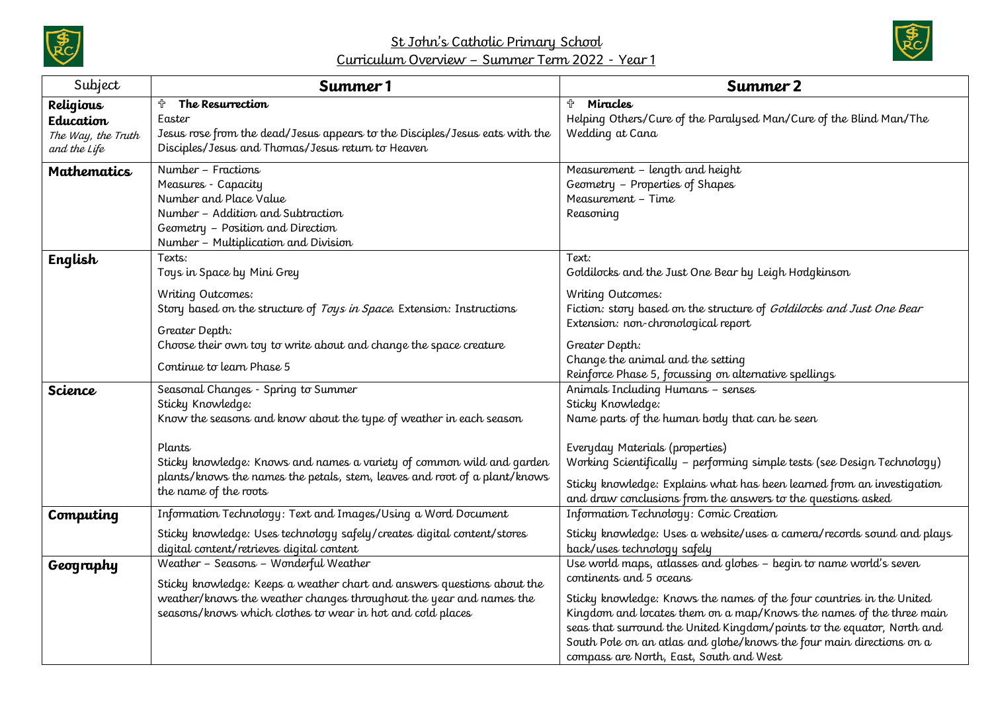

## St John's Catholic Primary School Curriculum Overview – Summer Term 2022 - Year 1



| Subject                            | Summer 1                                                                                                                                                                                                                                                                                                                | Summer 2                                                                                                                                                                                                                                                                                                                                                                                                                                  |
|------------------------------------|-------------------------------------------------------------------------------------------------------------------------------------------------------------------------------------------------------------------------------------------------------------------------------------------------------------------------|-------------------------------------------------------------------------------------------------------------------------------------------------------------------------------------------------------------------------------------------------------------------------------------------------------------------------------------------------------------------------------------------------------------------------------------------|
| Religious<br>Education             | ╬<br>The Resurrection<br>Easter                                                                                                                                                                                                                                                                                         | Miracles<br>╬<br>Helping Others/Cure of the Paralysed Man/Cure of the Blind Man/The                                                                                                                                                                                                                                                                                                                                                       |
| The Way, the Truth<br>and the Life | Jesus rose from the dead/Jesus appears to the Disciples/Jesus eats with the<br>Disciples/Jesus and Thomas/Jesus return to Heaven                                                                                                                                                                                        | Wedding at Cana                                                                                                                                                                                                                                                                                                                                                                                                                           |
| <b>Mathematics</b>                 | Number - Fractions<br>Measures - Capacity<br>Number and Place Value<br>Number - Addition and Subtraction<br>Geometry - Position and Direction<br>Number - Multiplication and Division                                                                                                                                   | Measurement - length and height<br>Geometry - Properties of Shapes<br>Measurement - Time<br>Reasoning                                                                                                                                                                                                                                                                                                                                     |
| English                            | Texts:<br>Toys in Space by Mini Grey                                                                                                                                                                                                                                                                                    | Text:<br>Goldilocks and the Just One Bear by Leigh Hodgkinson                                                                                                                                                                                                                                                                                                                                                                             |
|                                    | Writing Outcomes:<br>Story based on the structure of Toys in Space. Extension: Instructions<br>Greater Depth:<br>Choose their own toy to write about and change the space creature<br>Continue to learn Phase 5                                                                                                         | Writing Outcomes:<br>Fiction: story based on the structure of Goldilocks and Just One Bear<br>Extension: non-chronological report<br>Greater Depth:<br>Change the animal and the setting<br>Reinforce Phase 5, focussing on alternative spellings                                                                                                                                                                                         |
| <b>Science</b>                     | Seasonal Changes - Spring to Summer<br>Sticky Knowledge:<br>Know the seasons and know about the type of weather in each season<br>Plants<br>Sticky knowledge: Knows and names a variety of common wild and garden<br>plants/knows the names the petals, stem, leaves and root of a plant/knows<br>the name of the roots | Animals Including Humans - senses<br>Sticky Knowledge:<br>Name parts of the human body that can be seen<br>Everyday Materials (properties)<br>Working Scientifically - performing simple tests (see Design Technology)<br>Sticky knowledge: Explains what has been learned from an investigation<br>and draw conclusions from the answers to the questions asked                                                                          |
| Computing                          | Information Technology: Text and Images/Using a Word Document<br>Sticky knowledge: Uses technology safely/creates digital content/stores<br>digital content/retrieves digital content                                                                                                                                   | Information Technology: Comic Creation<br>Sticky knowledge: Uses a website/uses a camera/records sound and plays<br>back/uses technology safely                                                                                                                                                                                                                                                                                           |
| Geography                          | Weather - Seasons - Wonderful Weather<br>Sticky knowledge: Keeps a weather chart and answers questions about the<br>weather/knows the weather changes throughout the year and names the<br>seasons/knows which clothes to wear in hot and cold places                                                                   | Use world maps, atlasses and globes - begin to name world's seven<br>continents and 5 oceans<br>Sticky knowledge: Knows the names of the four countries in the United<br>Kingdom and locates them on a map/Knows the names of the three main<br>seas that surround the United Kingdom/points to the equator, North and<br>South Pole on an atlas and globe/knows the four main directions on a<br>compass are North, East, South and West |